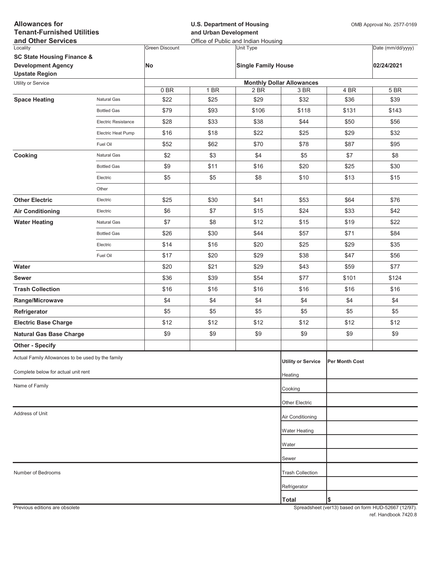| <b>Allowances for</b><br><b>Tenant-Furnished Utilities</b><br>and Other Services            |                     |                       | <b>U.S. Department of Housing</b><br>and Urban Development<br>Office of Public and Indian Housing |                            |                                  |                | OMB Approval No. 2577-0169 |  |
|---------------------------------------------------------------------------------------------|---------------------|-----------------------|---------------------------------------------------------------------------------------------------|----------------------------|----------------------------------|----------------|----------------------------|--|
| Locality                                                                                    |                     | <b>Green Discount</b> |                                                                                                   | Unit Type                  |                                  |                | Date (mm/dd/yyyy)          |  |
| <b>SC State Housing Finance &amp;</b><br><b>Development Agency</b><br><b>Upstate Region</b> |                     | No                    |                                                                                                   | <b>Single Family House</b> |                                  |                | 02/24/2021                 |  |
| Utility or Service                                                                          |                     |                       |                                                                                                   |                            | <b>Monthly Dollar Allowances</b> |                |                            |  |
|                                                                                             |                     | 0BR                   | 1 BR                                                                                              | 2 BR                       | 3 BR                             | 4 BR           | 5 BR                       |  |
| <b>Space Heating</b>                                                                        | Natural Gas         | \$22                  | \$25                                                                                              | \$29                       | \$32                             | \$36           | \$39                       |  |
|                                                                                             | <b>Bottled Gas</b>  | \$79                  | \$93                                                                                              | \$106                      | \$118                            | \$131          | \$143                      |  |
|                                                                                             | Electric Resistance | \$28                  | \$33                                                                                              | \$38                       | \$44                             | \$50           | \$56                       |  |
|                                                                                             | Electric Heat Pump  | \$16                  | \$18                                                                                              | \$22                       | \$25                             | \$29           | \$32                       |  |
|                                                                                             | Fuel Oil            | \$52                  | \$62                                                                                              | \$70                       | \$78                             | \$87           | \$95                       |  |
| Cooking                                                                                     | Natural Gas         | \$2                   | \$3                                                                                               | \$4                        | \$5                              | \$7            | \$8                        |  |
|                                                                                             | <b>Bottled Gas</b>  | \$9                   | \$11                                                                                              | \$16                       | \$20                             | \$25           | \$30                       |  |
|                                                                                             | Electric            | \$5                   | \$5                                                                                               | \$8                        | \$10                             | \$13           | \$15                       |  |
|                                                                                             | Other               |                       |                                                                                                   |                            |                                  |                |                            |  |
| <b>Other Electric</b>                                                                       | Electric            | \$25                  | \$30                                                                                              | \$41                       | \$53                             | \$64           | \$76                       |  |
| <b>Air Conditioning</b>                                                                     | Electric            | \$6                   | \$7                                                                                               | \$15                       | \$24                             | \$33           | \$42                       |  |
| <b>Water Heating</b>                                                                        | Natural Gas         | \$7                   | \$8                                                                                               | \$12                       | \$15                             | \$19           | \$22                       |  |
|                                                                                             | <b>Bottled Gas</b>  | \$26                  | \$30                                                                                              | \$44                       | \$57                             | \$71           | \$84                       |  |
|                                                                                             | Electric            | \$14                  | \$16                                                                                              | \$20                       | \$25                             | \$29           | \$35                       |  |
|                                                                                             | Fuel Oil            | \$17                  | \$20                                                                                              | \$29                       | \$38                             | \$47           | \$56                       |  |
| Water                                                                                       |                     | \$20                  | \$21                                                                                              | \$29                       | \$43                             | \$59           | \$77                       |  |
| <b>Sewer</b>                                                                                |                     | \$36                  | \$39                                                                                              | \$54                       | \$77                             | \$101          | \$124                      |  |
| <b>Trash Collection</b>                                                                     |                     | \$16                  | \$16                                                                                              | \$16                       | \$16                             | \$16           | \$16                       |  |
| Range/Microwave                                                                             |                     | \$4                   | \$4                                                                                               | \$4                        | \$4                              | \$4            | \$4                        |  |
| Refrigerator                                                                                |                     | \$5                   | \$5                                                                                               | \$5                        | \$5                              | \$5            | \$5                        |  |
| <b>Electric Base Charge</b>                                                                 |                     | \$12                  | \$12                                                                                              | \$12                       | \$12                             | \$12           | \$12                       |  |
| <b>Natural Gas Base Charge</b>                                                              |                     | \$9                   | \$9                                                                                               | \$9                        | \$9                              | \$9            | \$9                        |  |
| <b>Other - Specify</b>                                                                      |                     |                       |                                                                                                   |                            |                                  |                |                            |  |
| Actual Family Allowances to be used by the family                                           |                     |                       |                                                                                                   |                            | <b>Utility or Service</b>        | Per Month Cost |                            |  |
| Complete below for actual unit rent                                                         |                     |                       |                                                                                                   |                            | Heating                          |                |                            |  |
| Name of Family                                                                              |                     |                       |                                                                                                   |                            | Cooking                          |                |                            |  |
|                                                                                             |                     |                       |                                                                                                   |                            | Other Electric                   |                |                            |  |
| Address of Unit                                                                             |                     |                       |                                                                                                   |                            | Air Conditioning                 |                |                            |  |
|                                                                                             |                     |                       |                                                                                                   |                            |                                  |                |                            |  |
|                                                                                             |                     |                       |                                                                                                   |                            | <b>Water Heating</b>             |                |                            |  |
|                                                                                             |                     |                       |                                                                                                   |                            | Water                            |                |                            |  |
|                                                                                             |                     |                       |                                                                                                   |                            | Sewer                            |                |                            |  |
| Number of Bedrooms                                                                          |                     |                       |                                                                                                   |                            | <b>Trash Collection</b>          |                |                            |  |
|                                                                                             |                     |                       |                                                                                                   |                            | Refrigerator                     |                |                            |  |
|                                                                                             |                     |                       |                                                                                                   |                            | <b>Total</b>                     | \$             |                            |  |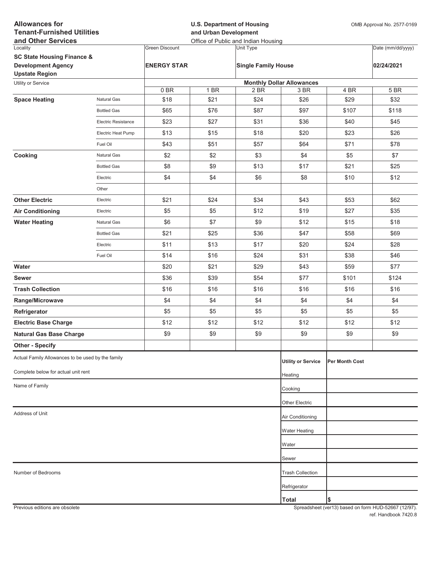| <b>Allowances for</b><br><b>Tenant-Furnished Utilities</b><br>and Other Services |                     |                       | <b>U.S. Department of Housing</b><br>and Urban Development<br>Office of Public and Indian Housing | OMB Approval No. 2577-0169 |                                  |                |                   |
|----------------------------------------------------------------------------------|---------------------|-----------------------|---------------------------------------------------------------------------------------------------|----------------------------|----------------------------------|----------------|-------------------|
| Locality                                                                         |                     | <b>Green Discount</b> |                                                                                                   | Unit Type                  |                                  |                | Date (mm/dd/yyyy) |
| <b>SC State Housing Finance &amp;</b>                                            |                     |                       |                                                                                                   |                            |                                  |                |                   |
| <b>Development Agency</b><br><b>Upstate Region</b>                               |                     | <b>ENERGY STAR</b>    |                                                                                                   | <b>Single Family House</b> |                                  |                | 02/24/2021        |
| Utility or Service                                                               |                     |                       |                                                                                                   |                            | <b>Monthly Dollar Allowances</b> |                |                   |
|                                                                                  |                     | 0BR                   | 1 BR                                                                                              | 2 BR                       | 3 BR                             | 4 BR           | 5 BR              |
| <b>Space Heating</b>                                                             | Natural Gas         | \$18                  | \$21                                                                                              | \$24                       | \$26                             | \$29           | \$32              |
|                                                                                  | <b>Bottled Gas</b>  | \$65                  | \$76                                                                                              | \$87                       | \$97                             | \$107          | \$118             |
|                                                                                  | Electric Resistance | \$23                  | \$27                                                                                              | \$31                       | \$36                             | \$40           | \$45              |
|                                                                                  | Electric Heat Pump  | \$13                  | \$15                                                                                              | \$18                       | \$20                             | \$23           | \$26              |
|                                                                                  | Fuel Oil            | \$43                  | \$51                                                                                              | \$57                       | \$64                             | \$71           | \$78              |
| Cooking                                                                          | Natural Gas         | \$2                   | \$2                                                                                               | \$3                        | \$4                              | \$5            | \$7               |
|                                                                                  | <b>Bottled Gas</b>  | \$8                   | \$9                                                                                               | \$13                       | \$17                             | \$21           | \$25              |
|                                                                                  | Electric            | \$4                   | \$4                                                                                               | \$6                        | \$8                              | \$10           | \$12              |
|                                                                                  | Other               |                       |                                                                                                   |                            |                                  |                |                   |
| <b>Other Electric</b>                                                            | Electric            | \$21                  | \$24                                                                                              | \$34                       | \$43                             | \$53           | \$62              |
| <b>Air Conditioning</b>                                                          | Electric            | \$5                   | \$5                                                                                               | \$12                       | \$19                             | \$27           | \$35              |
| <b>Water Heating</b>                                                             | Natural Gas         | \$6                   | \$7                                                                                               | \$9                        | \$12                             | \$15           | \$18              |
|                                                                                  | <b>Bottled Gas</b>  | \$21                  | \$25                                                                                              | \$36                       | \$47                             | \$58           | \$69              |
|                                                                                  | Electric            | \$11                  | \$13                                                                                              | \$17                       | \$20                             | \$24           | \$28              |
|                                                                                  | Fuel Oil            | \$14                  | \$16                                                                                              | \$24                       | \$31                             | \$38           | \$46              |
| Water                                                                            |                     | \$20                  | \$21                                                                                              | \$29                       | \$43                             | \$59           | \$77              |
| <b>Sewer</b>                                                                     |                     | \$36                  | \$39                                                                                              | \$54                       | \$77                             | \$101          | \$124             |
| <b>Trash Collection</b>                                                          |                     | \$16                  | \$16                                                                                              | \$16                       | \$16                             | \$16           | \$16              |
| Range/Microwave                                                                  |                     | \$4                   | \$4                                                                                               | \$4                        | \$4                              | \$4            | \$4               |
| Refrigerator                                                                     |                     | \$5                   | \$5                                                                                               | \$5                        | \$5                              | \$5            | \$5               |
| <b>Electric Base Charge</b>                                                      |                     | \$12                  | \$12                                                                                              | \$12                       | \$12                             | \$12           | \$12              |
| <b>Natural Gas Base Charge</b>                                                   |                     | \$9                   | \$9                                                                                               | \$9                        | \$9                              | \$9            | \$9               |
| <b>Other - Specify</b>                                                           |                     |                       |                                                                                                   |                            |                                  |                |                   |
| Actual Family Allowances to be used by the family                                |                     |                       |                                                                                                   |                            | <b>Utility or Service</b>        | Per Month Cost |                   |
| Complete below for actual unit rent                                              |                     |                       |                                                                                                   |                            | Heating                          |                |                   |
| Name of Family                                                                   |                     |                       |                                                                                                   |                            | Cooking                          |                |                   |
|                                                                                  |                     |                       |                                                                                                   |                            |                                  |                |                   |
|                                                                                  |                     |                       |                                                                                                   |                            | Other Electric                   |                |                   |
| Address of Unit                                                                  |                     |                       |                                                                                                   |                            | Air Conditioning                 |                |                   |
|                                                                                  |                     |                       |                                                                                                   |                            | Water Heating                    |                |                   |
|                                                                                  |                     |                       |                                                                                                   |                            | Water                            |                |                   |
|                                                                                  |                     |                       |                                                                                                   |                            | Sewer                            |                |                   |
| Number of Bedrooms                                                               |                     |                       |                                                                                                   |                            | <b>Trash Collection</b>          |                |                   |
|                                                                                  |                     |                       |                                                                                                   |                            | Refrigerator                     |                |                   |
|                                                                                  |                     |                       |                                                                                                   |                            | <b>Total</b>                     | \$             |                   |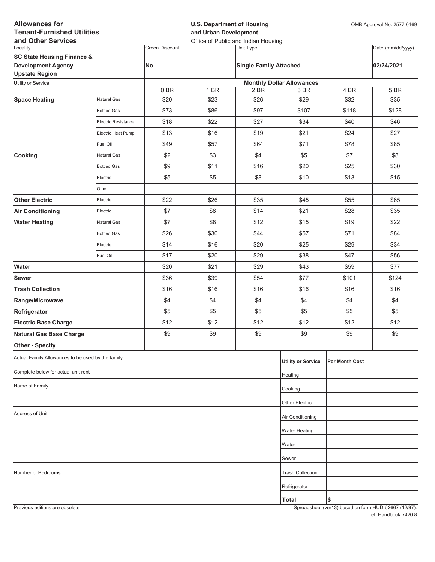| <b>Allowances for</b><br><b>Tenant-Furnished Utilities</b><br>and Other Services            |                     |                       | <b>U.S. Department of Housing</b><br>and Urban Development<br>Office of Public and Indian Housing |                               |                                  |                | OMB Approval No. 2577-0169 |  |
|---------------------------------------------------------------------------------------------|---------------------|-----------------------|---------------------------------------------------------------------------------------------------|-------------------------------|----------------------------------|----------------|----------------------------|--|
| Locality                                                                                    |                     | <b>Green Discount</b> |                                                                                                   | Unit Type                     |                                  |                | Date (mm/dd/yyyy)          |  |
| <b>SC State Housing Finance &amp;</b><br><b>Development Agency</b><br><b>Upstate Region</b> |                     | No                    |                                                                                                   | <b>Single Family Attached</b> |                                  |                | 02/24/2021                 |  |
| Utility or Service                                                                          |                     |                       |                                                                                                   |                               | <b>Monthly Dollar Allowances</b> |                |                            |  |
|                                                                                             |                     | 0BR                   | 1 BR                                                                                              | 2 BR                          | 3 BR                             | 4 BR           | 5 BR                       |  |
| <b>Space Heating</b>                                                                        | Natural Gas         | \$20                  | \$23                                                                                              | \$26                          | \$29                             | \$32           | \$35                       |  |
|                                                                                             | <b>Bottled Gas</b>  | \$73                  | \$86                                                                                              | \$97                          | \$107                            | \$118          | \$128                      |  |
|                                                                                             | Electric Resistance | \$18                  | \$22                                                                                              | \$27                          | \$34                             | \$40           | \$46                       |  |
|                                                                                             | Electric Heat Pump  | \$13                  | \$16                                                                                              | \$19                          | \$21                             | \$24           | \$27                       |  |
|                                                                                             | Fuel Oil            | \$49                  | \$57                                                                                              | \$64                          | \$71                             | \$78           | \$85                       |  |
| Cooking                                                                                     | Natural Gas         | \$2                   | \$3                                                                                               | \$4                           | \$5                              | \$7            | \$8                        |  |
|                                                                                             | <b>Bottled Gas</b>  | \$9                   | \$11                                                                                              | \$16                          | \$20                             | \$25           | \$30                       |  |
|                                                                                             | Electric            | \$5                   | \$5                                                                                               | \$8                           | \$10                             | \$13           | \$15                       |  |
|                                                                                             | Other               |                       |                                                                                                   |                               |                                  |                |                            |  |
| <b>Other Electric</b>                                                                       | Electric            | \$22                  | \$26                                                                                              | \$35                          | \$45                             | \$55           | \$65                       |  |
| <b>Air Conditioning</b>                                                                     | Electric            | \$7                   | \$8                                                                                               | \$14                          | \$21                             | \$28           | \$35                       |  |
| <b>Water Heating</b>                                                                        | Natural Gas         | \$7                   | \$8                                                                                               | \$12                          | \$15                             | \$19           | \$22                       |  |
|                                                                                             | <b>Bottled Gas</b>  | \$26                  | \$30                                                                                              | \$44                          | \$57                             | \$71           | \$84                       |  |
|                                                                                             | Electric            | \$14                  | \$16                                                                                              | \$20                          | \$25                             | \$29           | \$34                       |  |
|                                                                                             | Fuel Oil            | \$17                  | \$20                                                                                              | \$29                          | \$38                             | \$47           | \$56                       |  |
| Water                                                                                       |                     | \$20                  | \$21                                                                                              | \$29                          | \$43                             | \$59           | \$77                       |  |
| <b>Sewer</b>                                                                                |                     | \$36                  | \$39                                                                                              | \$54                          | \$77                             | \$101          | \$124                      |  |
| <b>Trash Collection</b>                                                                     |                     | \$16                  | \$16                                                                                              | \$16                          | \$16                             | \$16           | \$16                       |  |
| Range/Microwave                                                                             |                     | \$4                   | \$4                                                                                               | \$4                           | \$4                              | \$4            | \$4                        |  |
| Refrigerator                                                                                |                     | \$5                   | \$5                                                                                               | \$5                           | \$5                              | \$5            | \$5                        |  |
| <b>Electric Base Charge</b>                                                                 |                     | \$12                  | \$12                                                                                              | \$12                          | \$12                             | \$12           | \$12                       |  |
| <b>Natural Gas Base Charge</b>                                                              |                     | \$9                   | \$9                                                                                               | \$9                           | \$9                              | \$9            | \$9                        |  |
| <b>Other - Specify</b>                                                                      |                     |                       |                                                                                                   |                               |                                  |                |                            |  |
| Actual Family Allowances to be used by the family                                           |                     |                       |                                                                                                   |                               | <b>Utility or Service</b>        | Per Month Cost |                            |  |
| Complete below for actual unit rent                                                         |                     |                       |                                                                                                   |                               | Heating                          |                |                            |  |
| Name of Family                                                                              |                     |                       |                                                                                                   |                               |                                  |                |                            |  |
|                                                                                             |                     |                       |                                                                                                   |                               | Cooking                          |                |                            |  |
|                                                                                             |                     |                       |                                                                                                   |                               | Other Electric                   |                |                            |  |
| Address of Unit                                                                             |                     |                       |                                                                                                   |                               | Air Conditioning                 |                |                            |  |
|                                                                                             |                     |                       |                                                                                                   |                               | Water Heating                    |                |                            |  |
|                                                                                             |                     |                       |                                                                                                   |                               | Water                            |                |                            |  |
|                                                                                             |                     |                       |                                                                                                   |                               | Sewer                            |                |                            |  |
| Number of Bedrooms                                                                          |                     |                       |                                                                                                   |                               | <b>Trash Collection</b>          |                |                            |  |
|                                                                                             |                     |                       |                                                                                                   |                               | Refrigerator                     |                |                            |  |
|                                                                                             |                     |                       |                                                                                                   |                               | <b>Total</b>                     | \$             |                            |  |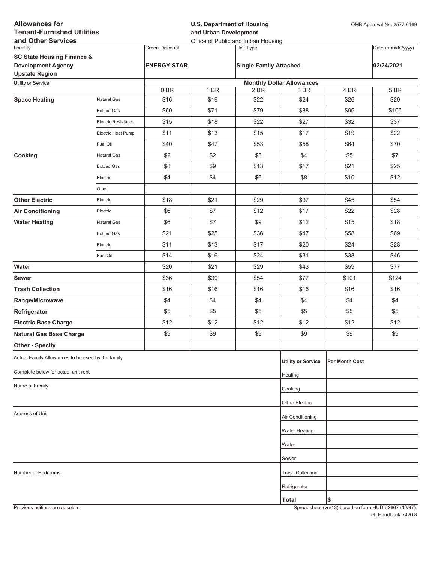| <b>Allowances for</b><br><b>Tenant-Furnished Utilities</b><br>and Other Services |                     |                       | <b>U.S. Department of Housing</b><br>and Urban Development<br>Office of Public and Indian Housing |                               |                                          |                | OMB Approval No. 2577-0169 |  |
|----------------------------------------------------------------------------------|---------------------|-----------------------|---------------------------------------------------------------------------------------------------|-------------------------------|------------------------------------------|----------------|----------------------------|--|
| Locality                                                                         |                     | <b>Green Discount</b> |                                                                                                   | Unit Type                     |                                          |                | Date (mm/dd/yyyy)          |  |
| <b>SC State Housing Finance &amp;</b>                                            |                     |                       |                                                                                                   |                               |                                          |                |                            |  |
| <b>Development Agency</b>                                                        |                     | <b>ENERGY STAR</b>    |                                                                                                   | <b>Single Family Attached</b> |                                          |                | 02/24/2021                 |  |
| <b>Upstate Region</b>                                                            |                     |                       |                                                                                                   |                               |                                          |                |                            |  |
| Utility or Service                                                               |                     | 0BR                   | 1 BR                                                                                              | 2 BR                          | <b>Monthly Dollar Allowances</b><br>3 BR | 4 BR           | 5 BR                       |  |
| <b>Space Heating</b>                                                             | Natural Gas         | \$16                  | \$19                                                                                              | \$22                          | \$24                                     | \$26           | \$29                       |  |
|                                                                                  | <b>Bottled Gas</b>  | \$60                  | \$71                                                                                              | \$79                          | \$88                                     | \$96           | \$105                      |  |
|                                                                                  | Electric Resistance | \$15                  | \$18                                                                                              | \$22                          | \$27                                     | \$32           | \$37                       |  |
|                                                                                  | Electric Heat Pump  | \$11                  | \$13                                                                                              | \$15                          | \$17                                     | \$19           | \$22                       |  |
|                                                                                  | Fuel Oil            | \$40                  | \$47                                                                                              | \$53                          | \$58                                     | \$64           | \$70                       |  |
| Cooking                                                                          | Natural Gas         | \$2                   | \$2                                                                                               | \$3                           | \$4                                      | \$5            | \$7                        |  |
|                                                                                  | <b>Bottled Gas</b>  | \$8                   | \$9                                                                                               | \$13                          | \$17                                     | \$21           | \$25                       |  |
|                                                                                  | Electric            | \$4                   | \$4                                                                                               | \$6                           | \$8                                      | \$10           | \$12                       |  |
|                                                                                  | Other               |                       |                                                                                                   |                               |                                          |                |                            |  |
| <b>Other Electric</b>                                                            | Electric            | \$18                  | \$21                                                                                              | \$29                          | \$37                                     | \$45           | \$54                       |  |
| <b>Air Conditioning</b>                                                          | Electric            | \$6                   | \$7                                                                                               | \$12                          | \$17                                     | \$22           | \$28                       |  |
| <b>Water Heating</b>                                                             | Natural Gas         | \$6                   | \$7                                                                                               | \$9                           | \$12                                     | \$15           | \$18                       |  |
|                                                                                  | <b>Bottled Gas</b>  | \$21                  | \$25                                                                                              | \$36                          | \$47                                     | \$58           | \$69                       |  |
|                                                                                  | Electric            | \$11                  | \$13                                                                                              | \$17                          | \$20                                     | \$24           | \$28                       |  |
|                                                                                  | Fuel Oil            | \$14                  | \$16                                                                                              | \$24                          | \$31                                     | \$38           | \$46                       |  |
| Water                                                                            |                     | \$20                  | \$21                                                                                              | \$29                          | \$43                                     | \$59           | \$77                       |  |
| <b>Sewer</b>                                                                     |                     | \$36                  | \$39                                                                                              | \$54                          | \$77                                     | \$101          | \$124                      |  |
| <b>Trash Collection</b>                                                          |                     | \$16                  | \$16                                                                                              | \$16                          | \$16                                     | \$16           | \$16                       |  |
| Range/Microwave                                                                  |                     | \$4                   | \$4                                                                                               | \$4                           | \$4                                      | \$4            | \$4                        |  |
| Refrigerator                                                                     |                     | \$5                   | \$5                                                                                               | \$5                           | \$5                                      | \$5            | \$5                        |  |
| <b>Electric Base Charge</b>                                                      |                     | \$12                  | \$12                                                                                              | \$12                          | \$12                                     | \$12           | \$12                       |  |
| <b>Natural Gas Base Charge</b>                                                   |                     | \$9                   | \$9                                                                                               | \$9                           | \$9                                      | \$9            | \$9                        |  |
| <b>Other - Specify</b>                                                           |                     |                       |                                                                                                   |                               |                                          |                |                            |  |
| Actual Family Allowances to be used by the family                                |                     |                       |                                                                                                   |                               | <b>Utility or Service</b>                | Per Month Cost |                            |  |
| Complete below for actual unit rent                                              |                     |                       |                                                                                                   |                               | Heating                                  |                |                            |  |
| Name of Family                                                                   |                     |                       |                                                                                                   |                               | Cooking                                  |                |                            |  |
|                                                                                  |                     |                       |                                                                                                   |                               |                                          |                |                            |  |
| Address of Unit                                                                  |                     |                       |                                                                                                   |                               | Other Electric                           |                |                            |  |
|                                                                                  |                     |                       |                                                                                                   |                               | Air Conditioning                         |                |                            |  |
|                                                                                  |                     |                       |                                                                                                   |                               | Water Heating                            |                |                            |  |
|                                                                                  |                     |                       |                                                                                                   |                               | Water                                    |                |                            |  |
|                                                                                  |                     |                       |                                                                                                   |                               | Sewer                                    |                |                            |  |
| Number of Bedrooms                                                               |                     |                       |                                                                                                   |                               | <b>Trash Collection</b>                  |                |                            |  |
|                                                                                  |                     |                       |                                                                                                   |                               | Refrigerator                             |                |                            |  |
|                                                                                  |                     |                       |                                                                                                   |                               | <b>Total</b>                             | \$             |                            |  |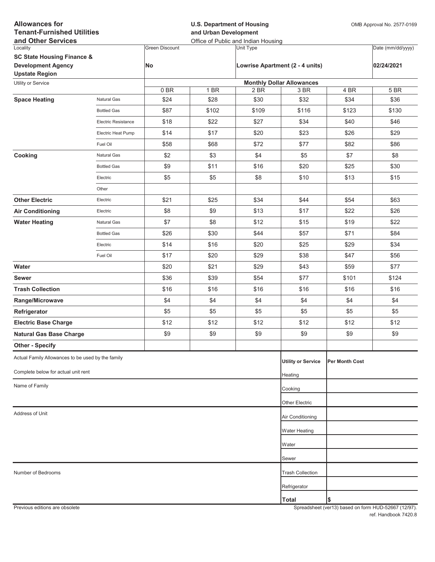| <b>Allowances for</b><br><b>Tenant-Furnished Utilities</b><br>and Other Services |                     |                       | <b>U.S. Department of Housing</b><br>and Urban Development<br>Office of Public and Indian Housing |                                  |                                 |                | OMB Approval No. 2577-0169 |  |
|----------------------------------------------------------------------------------|---------------------|-----------------------|---------------------------------------------------------------------------------------------------|----------------------------------|---------------------------------|----------------|----------------------------|--|
| Locality                                                                         |                     | <b>Green Discount</b> |                                                                                                   | <b>Unit Type</b>                 |                                 |                | Date (mm/dd/yyyy)          |  |
| <b>SC State Housing Finance &amp;</b>                                            |                     |                       |                                                                                                   |                                  |                                 |                |                            |  |
| <b>Development Agency</b><br><b>Upstate Region</b>                               |                     | <b>No</b>             |                                                                                                   |                                  | Lowrise Apartment (2 - 4 units) |                | 02/24/2021                 |  |
| Utility or Service                                                               |                     |                       |                                                                                                   | <b>Monthly Dollar Allowances</b> |                                 |                |                            |  |
|                                                                                  |                     | 0B                    | 1 BR                                                                                              | 2 BR                             | 3 BR                            | 4 BR           | 5 BR                       |  |
| <b>Space Heating</b>                                                             | Natural Gas         | \$24                  | \$28                                                                                              | \$30                             | \$32                            | \$34           | \$36                       |  |
|                                                                                  | <b>Bottled Gas</b>  | \$87                  | \$102                                                                                             | \$109                            | \$116                           | \$123          | \$130                      |  |
|                                                                                  | Electric Resistance | \$18                  | \$22                                                                                              | \$27                             | \$34                            | \$40           | \$46                       |  |
|                                                                                  | Electric Heat Pump  | \$14                  | \$17                                                                                              | \$20                             | \$23                            | \$26           | \$29                       |  |
|                                                                                  | Fuel Oil            | \$58                  | \$68                                                                                              | \$72                             | \$77                            | \$82           | \$86                       |  |
| Cooking                                                                          | Natural Gas         | \$2                   | \$3                                                                                               | \$4                              | \$5                             | \$7            | \$8                        |  |
|                                                                                  | <b>Bottled Gas</b>  | \$9                   | \$11                                                                                              | \$16                             | \$20                            | \$25           | \$30                       |  |
|                                                                                  | Electric            | \$5                   | \$5                                                                                               | \$8                              | \$10                            | \$13           | \$15                       |  |
|                                                                                  | Other               |                       |                                                                                                   |                                  |                                 |                |                            |  |
| <b>Other Electric</b>                                                            | Electric            | \$21                  | \$25                                                                                              | \$34                             | \$44                            | \$54           | \$63                       |  |
| <b>Air Conditioning</b>                                                          | Electric            | \$8                   | \$9                                                                                               | \$13                             | \$17                            | \$22           | \$26                       |  |
| <b>Water Heating</b>                                                             | Natural Gas         | \$7                   | \$8                                                                                               | \$12                             | \$15                            | \$19           | \$22                       |  |
|                                                                                  | <b>Bottled Gas</b>  | \$26                  | \$30                                                                                              | \$44                             | \$57                            | \$71           | \$84                       |  |
|                                                                                  | Electric            | \$14                  | \$16                                                                                              | \$20                             | \$25                            | \$29           | \$34                       |  |
|                                                                                  | Fuel Oil            | \$17                  | \$20                                                                                              | \$29                             | \$38                            | \$47           | \$56                       |  |
| Water                                                                            |                     | \$20                  | \$21                                                                                              | \$29                             | \$43                            | \$59           | \$77                       |  |
| <b>Sewer</b>                                                                     |                     | \$36                  | \$39                                                                                              | \$54                             | \$77                            | \$101          | \$124                      |  |
| <b>Trash Collection</b>                                                          |                     | \$16                  | \$16                                                                                              | \$16                             | \$16                            | \$16           | \$16                       |  |
| Range/Microwave                                                                  |                     | \$4                   | \$4                                                                                               | \$4                              | \$4                             | \$4            | \$4                        |  |
| Refrigerator                                                                     |                     | \$5                   | \$5                                                                                               | \$5                              | \$5                             | \$5            | \$5                        |  |
| <b>Electric Base Charge</b>                                                      |                     | \$12                  | \$12                                                                                              | \$12                             | \$12                            | \$12           | \$12                       |  |
| <b>Natural Gas Base Charge</b>                                                   |                     | \$9                   | \$9                                                                                               | \$9                              | \$9                             | \$9            | \$9                        |  |
| <b>Other - Specify</b>                                                           |                     |                       |                                                                                                   |                                  |                                 |                |                            |  |
| Actual Family Allowances to be used by the family                                |                     |                       |                                                                                                   |                                  | <b>Utility or Service</b>       | Per Month Cost |                            |  |
| Complete below for actual unit rent                                              |                     |                       |                                                                                                   |                                  | Heating                         |                |                            |  |
| Name of Family                                                                   |                     |                       |                                                                                                   |                                  | Cooking                         |                |                            |  |
|                                                                                  |                     |                       |                                                                                                   |                                  |                                 |                |                            |  |
| Address of Unit                                                                  |                     |                       |                                                                                                   |                                  | Other Electric                  |                |                            |  |
|                                                                                  |                     |                       |                                                                                                   |                                  | Air Conditioning                |                |                            |  |
|                                                                                  |                     |                       |                                                                                                   |                                  | <b>Water Heating</b>            |                |                            |  |
|                                                                                  |                     |                       |                                                                                                   |                                  | Water                           |                |                            |  |
|                                                                                  |                     |                       |                                                                                                   |                                  | Sewer                           |                |                            |  |
| Number of Bedrooms                                                               |                     |                       |                                                                                                   |                                  | <b>Trash Collection</b>         |                |                            |  |
|                                                                                  |                     |                       |                                                                                                   |                                  | Refrigerator                    |                |                            |  |
|                                                                                  |                     |                       |                                                                                                   |                                  | <b>Total</b>                    | \$             |                            |  |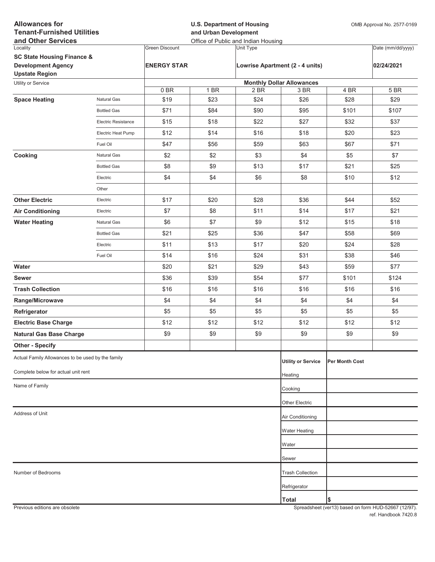| <b>Allowances for</b><br><b>Tenant-Furnished Utilities</b><br>and Other Services |                            |                       | <b>U.S. Department of Housing</b><br>and Urban Development<br>Office of Public and Indian Housing |           |                                  |                | OMB Approval No. 2577-0169 |
|----------------------------------------------------------------------------------|----------------------------|-----------------------|---------------------------------------------------------------------------------------------------|-----------|----------------------------------|----------------|----------------------------|
| Locality                                                                         |                            | <b>Green Discount</b> |                                                                                                   | Unit Type |                                  |                | Date (mm/dd/yyyy)          |
| <b>SC State Housing Finance &amp;</b>                                            |                            |                       |                                                                                                   |           |                                  |                |                            |
| <b>Development Agency</b><br><b>Upstate Region</b>                               |                            | <b>ENERGY STAR</b>    |                                                                                                   |           | Lowrise Apartment (2 - 4 units)  |                | 02/24/2021                 |
| Utility or Service                                                               |                            |                       |                                                                                                   |           | <b>Monthly Dollar Allowances</b> |                |                            |
|                                                                                  |                            | 0BR                   | 1 BR                                                                                              | 2 BR      | 3 BR                             | 4 BR           | 5 BR                       |
| <b>Space Heating</b>                                                             | Natural Gas                | \$19                  | \$23                                                                                              | \$24      | \$26                             | \$28           | \$29                       |
|                                                                                  | <b>Bottled Gas</b>         | \$71                  | \$84                                                                                              | \$90      | \$95                             | \$101          | \$107                      |
|                                                                                  | <b>Electric Resistance</b> | \$15                  | \$18                                                                                              | \$22      | \$27                             | \$32           | \$37                       |
|                                                                                  | Electric Heat Pump         | \$12                  | \$14                                                                                              | \$16      | \$18                             | \$20           | \$23                       |
|                                                                                  | Fuel Oil                   | \$47                  | \$56                                                                                              | \$59      | \$63                             | \$67           | \$71                       |
| Cooking                                                                          | Natural Gas                | \$2                   | \$2                                                                                               | \$3       | \$4                              | \$5            | \$7                        |
|                                                                                  | <b>Bottled Gas</b>         | \$8                   | \$9                                                                                               | \$13      | \$17                             | \$21           | \$25                       |
|                                                                                  | Electric                   | \$4                   | \$4                                                                                               | \$6       | \$8                              | \$10           | \$12                       |
|                                                                                  | Other                      |                       |                                                                                                   |           |                                  |                |                            |
| <b>Other Electric</b>                                                            | Electric                   | \$17                  | \$20                                                                                              | \$28      | \$36                             | \$44           | \$52                       |
| <b>Air Conditioning</b>                                                          | Electric                   | \$7                   | \$8                                                                                               | \$11      | \$14                             | \$17           | \$21                       |
| <b>Water Heating</b>                                                             | Natural Gas                | \$6                   | \$7                                                                                               | \$9       | \$12                             | \$15           | \$18                       |
|                                                                                  | <b>Bottled Gas</b>         | \$21                  | \$25                                                                                              | \$36      | \$47                             | \$58           | \$69                       |
|                                                                                  | Electric                   | \$11                  | \$13                                                                                              | \$17      | \$20                             | \$24           | \$28                       |
|                                                                                  | Fuel Oil                   | \$14                  | \$16                                                                                              | \$24      | \$31                             | \$38           | \$46                       |
| Water                                                                            |                            | \$20                  | \$21                                                                                              | \$29      | \$43                             | \$59           | \$77                       |
| <b>Sewer</b>                                                                     |                            | \$36                  | \$39                                                                                              | \$54      | \$77                             | \$101          | \$124                      |
| <b>Trash Collection</b>                                                          |                            | \$16                  | \$16                                                                                              | \$16      | \$16                             | \$16           | \$16                       |
| Range/Microwave                                                                  |                            | \$4                   | \$4                                                                                               | \$4       | \$4                              | \$4            | \$4                        |
| Refrigerator                                                                     |                            | \$5                   | \$5                                                                                               | \$5       | \$5                              | \$5            | \$5                        |
| <b>Electric Base Charge</b>                                                      |                            | \$12                  | \$12                                                                                              | \$12      | \$12                             | \$12           | \$12                       |
| <b>Natural Gas Base Charge</b>                                                   |                            | \$9                   | \$9                                                                                               | \$9       | \$9                              | \$9            | \$9                        |
| <b>Other - Specify</b>                                                           |                            |                       |                                                                                                   |           |                                  |                |                            |
| Actual Family Allowances to be used by the family                                |                            |                       |                                                                                                   |           | <b>Utility or Service</b>        | Per Month Cost |                            |
| Complete below for actual unit rent                                              |                            |                       |                                                                                                   |           | Heating                          |                |                            |
| Name of Family                                                                   |                            |                       |                                                                                                   |           | Cooking                          |                |                            |
|                                                                                  |                            |                       |                                                                                                   |           | Other Electric                   |                |                            |
| Address of Unit                                                                  |                            |                       |                                                                                                   |           | Air Conditioning                 |                |                            |
|                                                                                  |                            |                       |                                                                                                   |           | <b>Water Heating</b>             |                |                            |
|                                                                                  |                            |                       |                                                                                                   |           | Water                            |                |                            |
|                                                                                  |                            |                       |                                                                                                   |           | Sewer                            |                |                            |
| Number of Bedrooms                                                               |                            |                       |                                                                                                   |           | <b>Trash Collection</b>          |                |                            |
|                                                                                  |                            |                       |                                                                                                   |           | Refrigerator                     |                |                            |
|                                                                                  |                            |                       |                                                                                                   |           | <b>Total</b>                     | \$             |                            |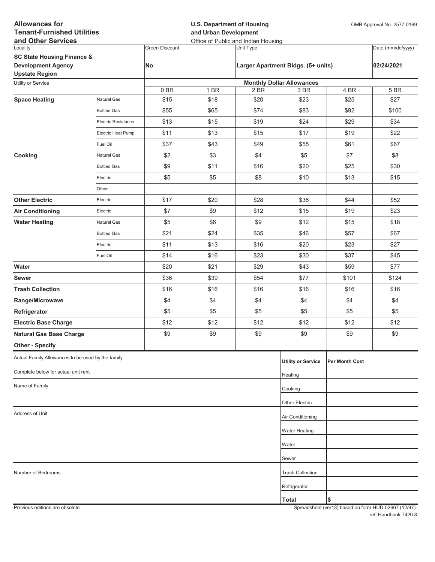| <b>Allowances for</b><br><b>Tenant-Furnished Utilities</b><br>and Other Services            |                     |                       | <b>U.S. Department of Housing</b><br>and Urban Development<br>Office of Public and Indian Housing |           |                                    |                | OMB Approval No. 2577-0169 |  |
|---------------------------------------------------------------------------------------------|---------------------|-----------------------|---------------------------------------------------------------------------------------------------|-----------|------------------------------------|----------------|----------------------------|--|
| Locality                                                                                    |                     | <b>Green Discount</b> |                                                                                                   | Unit Type |                                    |                | Date (mm/dd/yyyy)          |  |
| <b>SC State Housing Finance &amp;</b><br><b>Development Agency</b><br><b>Upstate Region</b> |                     | No                    |                                                                                                   |           | Larger Apartment Bldgs. (5+ units) |                | 02/24/2021                 |  |
| Utility or Service                                                                          |                     |                       |                                                                                                   |           | <b>Monthly Dollar Allowances</b>   |                |                            |  |
|                                                                                             |                     | 0BR                   | 1 BR                                                                                              | 2 BR      | 3 BR                               | 4 BR           | 5 BR                       |  |
| <b>Space Heating</b>                                                                        | Natural Gas         | \$15                  | \$18                                                                                              | \$20      | \$23                               | \$25           | \$27                       |  |
|                                                                                             | <b>Bottled Gas</b>  | \$55                  | \$65                                                                                              | \$74      | \$83                               | \$92           | \$100                      |  |
|                                                                                             | Electric Resistance | \$13                  | \$15                                                                                              | \$19      | \$24                               | \$29           | \$34                       |  |
|                                                                                             | Electric Heat Pump  | \$11                  | \$13                                                                                              | \$15      | \$17                               | \$19           | \$22                       |  |
|                                                                                             | Fuel Oil            | \$37                  | \$43                                                                                              | \$49      | \$55                               | \$61           | \$67                       |  |
| Cooking                                                                                     | Natural Gas         | \$2                   | \$3                                                                                               | \$4       | \$5                                | \$7            | \$8                        |  |
|                                                                                             | <b>Bottled Gas</b>  | \$9                   | \$11                                                                                              | \$16      | \$20                               | \$25           | \$30                       |  |
|                                                                                             | Electric            | \$5                   | \$5                                                                                               | \$8       | \$10                               | \$13           | \$15                       |  |
|                                                                                             | Other               |                       |                                                                                                   |           |                                    |                |                            |  |
| <b>Other Electric</b>                                                                       | Electric            | \$17                  | \$20                                                                                              | \$28      | \$36                               | \$44           | \$52                       |  |
| <b>Air Conditioning</b>                                                                     | Electric            | \$7                   | \$9                                                                                               | \$12      | \$15                               | \$19           | \$23                       |  |
| <b>Water Heating</b>                                                                        | Natural Gas         | \$5                   | \$6                                                                                               | \$9       | \$12                               | \$15           | \$18                       |  |
|                                                                                             | <b>Bottled Gas</b>  | \$21                  | \$24                                                                                              | \$35      | \$46                               | \$57           | \$67                       |  |
|                                                                                             | Electric            | \$11                  | \$13                                                                                              | \$16      | \$20                               | \$23           | \$27                       |  |
|                                                                                             | Fuel Oil            | \$14                  | \$16                                                                                              | \$23      | \$30                               | \$37           | \$45                       |  |
| Water                                                                                       |                     | \$20                  | \$21                                                                                              | \$29      | \$43                               | \$59           | \$77                       |  |
| <b>Sewer</b>                                                                                |                     | \$36                  | \$39                                                                                              | \$54      | \$77                               | \$101          | \$124                      |  |
| <b>Trash Collection</b>                                                                     |                     | \$16                  | \$16                                                                                              | \$16      | \$16                               | \$16           | \$16                       |  |
| Range/Microwave                                                                             |                     | \$4                   | \$4                                                                                               | \$4       | \$4                                | \$4            | \$4                        |  |
| Refrigerator                                                                                |                     | \$5                   | \$5                                                                                               | \$5       | \$5                                | \$5            | \$5                        |  |
| <b>Electric Base Charge</b>                                                                 |                     | \$12                  | \$12                                                                                              | \$12      | \$12                               | \$12           | \$12                       |  |
| <b>Natural Gas Base Charge</b>                                                              |                     | \$9                   | \$9                                                                                               | \$9       | \$9                                | \$9            | \$9                        |  |
| <b>Other - Specify</b>                                                                      |                     |                       |                                                                                                   |           |                                    |                |                            |  |
| Actual Family Allowances to be used by the family                                           |                     |                       |                                                                                                   |           | <b>Utility or Service</b>          | Per Month Cost |                            |  |
| Complete below for actual unit rent                                                         |                     |                       |                                                                                                   |           | Heating                            |                |                            |  |
| Name of Family                                                                              |                     |                       |                                                                                                   |           | Cooking                            |                |                            |  |
|                                                                                             |                     |                       |                                                                                                   |           |                                    |                |                            |  |
| Address of Unit                                                                             |                     |                       |                                                                                                   |           | Other Electric<br>Air Conditioning |                |                            |  |
|                                                                                             |                     |                       |                                                                                                   |           |                                    |                |                            |  |
|                                                                                             |                     |                       |                                                                                                   |           | <b>Water Heating</b>               |                |                            |  |
|                                                                                             |                     |                       |                                                                                                   |           | Water                              |                |                            |  |
|                                                                                             |                     |                       |                                                                                                   |           | Sewer                              |                |                            |  |
| Number of Bedrooms                                                                          |                     |                       |                                                                                                   |           | <b>Trash Collection</b>            |                |                            |  |
|                                                                                             |                     |                       |                                                                                                   |           | Refrigerator                       |                |                            |  |
|                                                                                             |                     |                       |                                                                                                   |           | <b>Total</b>                       | Ι\$            |                            |  |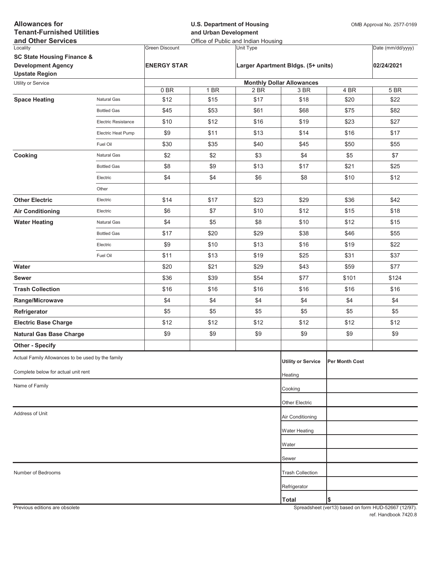| <b>Allowances for</b><br><b>Tenant-Furnished Utilities</b><br>and Other Services |                            |                       | <b>U.S. Department of Housing</b><br>OMB Approval No. 2577-0169<br>and Urban Development<br>Office of Public and Indian Housing |           |                                    |                |                   |
|----------------------------------------------------------------------------------|----------------------------|-----------------------|---------------------------------------------------------------------------------------------------------------------------------|-----------|------------------------------------|----------------|-------------------|
| Locality                                                                         |                            | <b>Green Discount</b> |                                                                                                                                 | Unit Type |                                    |                | Date (mm/dd/yyyy) |
| <b>SC State Housing Finance &amp;</b>                                            |                            |                       |                                                                                                                                 |           |                                    |                |                   |
| <b>Development Agency</b><br><b>Upstate Region</b>                               |                            | <b>ENERGY STAR</b>    |                                                                                                                                 |           | Larger Apartment Bldgs. (5+ units) |                | 02/24/2021        |
| Utility or Service                                                               |                            |                       |                                                                                                                                 |           | <b>Monthly Dollar Allowances</b>   |                |                   |
|                                                                                  |                            | 0BR                   | 1 BR                                                                                                                            | 2 BR      | 3 BR                               | 4 BR           | 5 BR              |
| <b>Space Heating</b>                                                             | Natural Gas                | \$12                  | \$15                                                                                                                            | \$17      | \$18                               | \$20           | \$22              |
|                                                                                  | <b>Bottled Gas</b>         | \$45                  | \$53                                                                                                                            | \$61      | \$68                               | \$75           | \$82              |
|                                                                                  | <b>Electric Resistance</b> | \$10                  | \$12                                                                                                                            | \$16      | \$19                               | \$23           | \$27              |
|                                                                                  | Electric Heat Pump         | \$9                   | \$11                                                                                                                            | \$13      | \$14                               | \$16           | \$17              |
|                                                                                  | Fuel Oil                   | \$30                  | \$35                                                                                                                            | \$40      | \$45                               | \$50           | \$55              |
| Cooking                                                                          | Natural Gas                | \$2                   | \$2                                                                                                                             | \$3       | \$4                                | \$5            | \$7               |
|                                                                                  | <b>Bottled Gas</b>         | \$8                   | \$9                                                                                                                             | \$13      | \$17                               | \$21           | \$25              |
|                                                                                  | Electric                   | \$4                   | \$4                                                                                                                             | \$6       | \$8                                | \$10           | \$12              |
|                                                                                  | Other                      |                       |                                                                                                                                 |           |                                    |                |                   |
| <b>Other Electric</b>                                                            | Electric                   | \$14                  | \$17                                                                                                                            | \$23      | \$29                               | \$36           | \$42              |
| <b>Air Conditioning</b>                                                          | Electric                   | \$6                   | \$7                                                                                                                             | \$10      | \$12                               | \$15           | \$18              |
| <b>Water Heating</b>                                                             | Natural Gas                | \$4                   | \$5                                                                                                                             | \$8       | \$10                               | \$12           | \$15              |
|                                                                                  | <b>Bottled Gas</b>         | \$17                  | \$20                                                                                                                            | \$29      | \$38                               | \$46           | \$55              |
|                                                                                  | Electric                   | \$9                   | \$10                                                                                                                            | \$13      | \$16                               | \$19           | \$22              |
|                                                                                  | Fuel Oil                   | \$11                  | \$13                                                                                                                            | \$19      | \$25                               | \$31           | \$37              |
| Water                                                                            |                            | \$20                  | \$21                                                                                                                            | \$29      | \$43                               | \$59           | \$77              |
| <b>Sewer</b>                                                                     |                            | \$36                  | \$39                                                                                                                            | \$54      | \$77                               | \$101          | \$124             |
| <b>Trash Collection</b>                                                          |                            | \$16                  | \$16                                                                                                                            | \$16      | \$16                               | \$16           | \$16              |
| Range/Microwave                                                                  |                            | \$4                   | \$4                                                                                                                             | \$4       | \$4                                | \$4            | \$4               |
| Refrigerator                                                                     |                            | \$5                   | \$5                                                                                                                             | \$5       | \$5                                | \$5            | \$5               |
| <b>Electric Base Charge</b>                                                      |                            | \$12                  | \$12                                                                                                                            | \$12      | \$12                               | \$12           | \$12              |
| <b>Natural Gas Base Charge</b>                                                   |                            | \$9                   | \$9                                                                                                                             | \$9       | \$9                                | \$9            | \$9               |
| <b>Other - Specify</b>                                                           |                            |                       |                                                                                                                                 |           |                                    |                |                   |
| Actual Family Allowances to be used by the family                                |                            |                       |                                                                                                                                 |           | <b>Utility or Service</b>          | Per Month Cost |                   |
| Complete below for actual unit rent                                              |                            |                       |                                                                                                                                 |           | Heating                            |                |                   |
| Name of Family                                                                   |                            |                       |                                                                                                                                 |           | Cooking                            |                |                   |
|                                                                                  |                            |                       |                                                                                                                                 |           | Other Electric                     |                |                   |
| Address of Unit                                                                  |                            |                       |                                                                                                                                 |           | Air Conditioning                   |                |                   |
|                                                                                  |                            |                       |                                                                                                                                 |           |                                    |                |                   |
|                                                                                  |                            |                       |                                                                                                                                 |           | Water Heating                      |                |                   |
|                                                                                  |                            |                       |                                                                                                                                 |           | Water                              |                |                   |
|                                                                                  |                            |                       |                                                                                                                                 |           | Sewer                              |                |                   |
| Number of Bedrooms                                                               |                            |                       |                                                                                                                                 |           | <b>Trash Collection</b>            |                |                   |
|                                                                                  |                            |                       |                                                                                                                                 |           | Refrigerator                       |                |                   |
|                                                                                  |                            |                       |                                                                                                                                 |           | <b>Total</b>                       | \$             |                   |